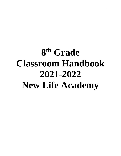# **8 th Grade Classroom Handbook 2021-2022 New Life Academy**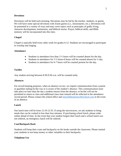## **Devotions**

Devotions will be held each morning. Devotions may be led by the teacher, students, or guests. We will have some special devotions with Zoom guests (i.e., missionaries, etc.). Devotions will be presented in a variety of ways and may cover topics such as principles of godly living, character development, testimonies, and biblical stories. Prayer, biblical skills, and Bible memory will be incorporated into this time.

## **Chapel**

Chapel is typically held every other week for grades 6-12. Students are encouraged to participate in worship and singing.

## **Attendance**

- Students in attendance less than  $3\frac{1}{2}$  hours will be counted absent for the day.
- Students in attendance for  $3\frac{1}{2}$  hours-6 hours will be counted absent for  $\frac{1}{2}$  day.
- Students in attendance for 6-7 hours will be counted present for the day.

## **Tardies**

Any student arriving between 8:30-9:30 a.m. will be counted tardy.

## **Absences**

For record keeping purposes, when an absence occurs, we require communication from a parent or guardian stating he/she was or is aware of the student's absence. This communication must take place no later than the day a student returns from the absence, or he/she will not be permitted to return to class and additional class time missed will be reflected in the attendance record period. Please contact the school office and [mmckibben@newlifeschool.com](mailto:mmckibben@newlifeschool.com) in the event of an absence.

## **Lunch**

Our lunch time will be from 12:10-12:35. If using the microwaves, we ask students to bring meals that can be cooked in less than four minutes. If purchasing school lunch, please order online ahead of time. In the event that your student forgets their lunch and a school lunch was not ordered, an emergency lunch will be ordered.

## **Coat/Backpack Rack**

Students will keep their coats and backpacks on the hooks outside the classroom. Please remind your students to not keep money or other valuables in their backpacks.

## **Telephone Use**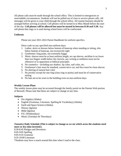All phone calls must be made through the school office. This is limited to emergencies or unavoidable circumstances. Students will not be pulled out of class to receive phone calls. All messages will be given to your child through the school office. All routine business should be arranged before arriving at school. Cell phones will be turned in to Miss Mandi before the start of the day. **Cell phones will be allowed but must be turned in between 8:30 and 3:30.** Any cell phone that rings or is used during school hours will be confiscated.

# **Uniforms**

Please see your 2021-2022 Parent Handbook for uniform specifics.

Dress code on any specified non-uniform days:

- 1. Ladies: skirts or dresses below bottom of kneecap when standing or sitting, slits below bottom of kneecap, not excessively tight
- 2. Gentlemen: long pants, not extremely baggy
- 3. Shirts: sleeves must be at least uniform length, no cap sleeves, neckline is no lower than two fingers width below the clavicle, any writing or emblems must not be offensive or in opposition to biblical principles
- 4. No cosmetics—including eye shadow, lip color, nail color, etc.
- 5. Gentlemen's hair must be standard, conservative cut, and face must be clean shaven.
- 6. No altering of natural hair color
- 7. No jewelry except for one ring (class ring or purity) and must be of conservative styling
- 8. No hats are to be worn in the building even on non-uniform days.

# **Weekly Lesson Plans**

The weekly lesson plans may be accessed through the family portal on the Parents Web portion of Renweb. Please note that these are subject to change at any time.

# **Subjects**

- Pre-Algebra (Abeka)
- English (Grammar, Literature, Spelling & Vocabulary) (Abeka)
- Earth and Space Science (Abeka)
- History (Ignitia)
- Bible (Ignitia)
- P.E. (Wednesdays)
- Music (Tuesdays & Thursdays)

# **Tentative Daily Schedule (This is subject to change as we see which areas the students need more or less time invested.)**

8:30-8:45 Pledges and Devotions 8:45-9:05 Spelling 9:05-9:35 Grammar 9:35-10:00 Literature \*Students may have a snack around this time when I read to the class.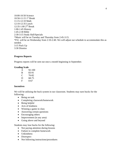10:00-10:50 Science 10:50-11:15 1<sup>st</sup> Break 11:15-12:10 Math 12:10-12:35 Lunch 12:35-1:00 2 nd Break 1:00-1:45 History 1:45-2:30 Bible 2:30-3:15 Study Hall/Specials \*Music will be on Tuesday and Thursday from 2:45-3:15. \*P.E. will be on Wednesday from 2:10-2:40. We will adjust our schedule to accommodate this as needed. 3:15 Pack Up 3:30 Dismiss

## **Progress Reports**

Progress reports will be sent out once a month beginning in September.

## **Grading Scale**

| A | 92-100 |
|---|--------|
| B | 83-91  |
| C | 76-82  |
| D | 68-75  |
| F | 0-67   |

## **Incentives**

We will be utilizing the buck system in our classroom. Students may earn bucks for the following:

- Being on task
- Completing classwork/homework
- Being helpful
- Acts of kindness
- Winning a game in class
- Answering certain questions
- Encouraging others
- Improvement (in any area)
- Going above and beyond

Students may lose bucks for the following:

- Not paying attention during lessons
- Failure to complete homework
- Unkindness
- Disrespect
- Not following instructions/procedures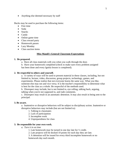• Anything else deemed necessary by staff

Bucks may be used to purchase the following items:

- Free time
- Soda
- Snacks
- Candy
- Online game time
- Class reward party
- Homework passes
- Lazy Monday
- Class auction items

## **Miss Mandi's General Classroom Expectations**

#### **1. Be prepared.**

a. Have all class materials with you when you walk through the door.

b. Have your homework completed (check to make sure every problem assigned has been done and every Ignitia lesson is completed).

#### **2. Be respectful to others and yourself.**

a. A variety of ways will be used to present material in these classes, including, but not limited to, lecture, video, discussion, group projects, technology, games, and experiments. Please realize that not everyone learns the same way. What you like, someone else may not and vice versa. It is the teacher's responsibility to determine what is best for the class as a whole. Be respectful of the methods used.

b. Disrespect may include, but is not limited to, eye rolling, talking back, arguing, talking when you're not supposed to, and rude comments.

c. Disrespect may result in an automatic detention. It may also result in being sent to the principal.

#### **3. Be aware.**

a. Inattentive or disruptive behaviors will be subject to disciplinary action. Inattentive or disruptive behaviors may include (but are not limited to):

- 1. Talking to classmates
- 2. Lack of participation
- 3. Incomplete work
- 4. Unpreparedness for class

## **3. Be responsible for your own work.**

*a. Turn it in on time* 

1. Late homework may be turned in one day late for ½ credit.

2. Late projects will be docked 10 points for each day they are late.

3. A detention will be issued for every third incomplete homework or no homework day each month.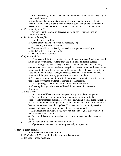4. If you are absent, you will have one day to complete the work for every day of an excused absence.

5. You do have the opportunity to complete unfinished homework without penalty. You will have to pay \$10 in classroom bucks and do the assignment at recess. If you choose to do this, it will not be counted as a no homework, etc.

*b. Do the work yourself.* 

1. Anyone caught cheating will receive a zero on the assignment and an automatic detention.

- *c. Do the work thoroughly.*
	- 1. Complete every problem.
	- 2. Check that you have completed all necessary steps.
	- 3. Make sure you follow directions.
	- 4. Homework will be checked by the teacher and graded accordingly.
	- 5. Study/work a little bit each night.
	- 6. Pay attention to deadlines.
- *d. Quizzes and Tests*

1. 1-2 quizzes will typically be given per week in each subject. Study guides will not be given for quizzes. Students may use their notes on Ignitia quizzes.

2. Tests will typically occur every 2-3 weeks. In math, students will typically complete a chapter review the day or two prior to the test, which will have similar problems. Students will also practice problems like what will occur on the test in class and may take notes as we go over these problems. In all other subjects, students will be given a study guide ahead of time to complete.

3. The teacher cannot explain how to do a problem during a test or quiz. It is a test or quiz of what the student has learned, not the teacher.

4. Talking during a quiz or test will result in an automatic zero.

5. Cheating during a quiz or test will result in an automatic zero and a detention.

- *e. Extra Credit*
	- 1. Extra credit will be made available periodically throughout the quarter.
	- 2. Extra credit may come in many forms, including, but not limited to,

extra work (worksheets, projects, essays, etc.), answering special questions asked in class, being on the winning team in a review game, and participation above and beyond the required norm during class. You may also do community service projects and write about the experience to receive extra credit.

3. Extra credit is a privilege. If you have not turned in regular class work, you will not receive extra credit.

4. Extra credit is not something that is given just so you can make a passing grade.

*f. It is your responsibility to know the material in class.* 

1. If you do not understand something, ask, ask, ask questions!

## **4. Have a great attitude!**

- a. "Your attitude determines your altitude."
- b. Don't give up! You can do this, but you must keep trying!
- c. It's okay to make mistakes.